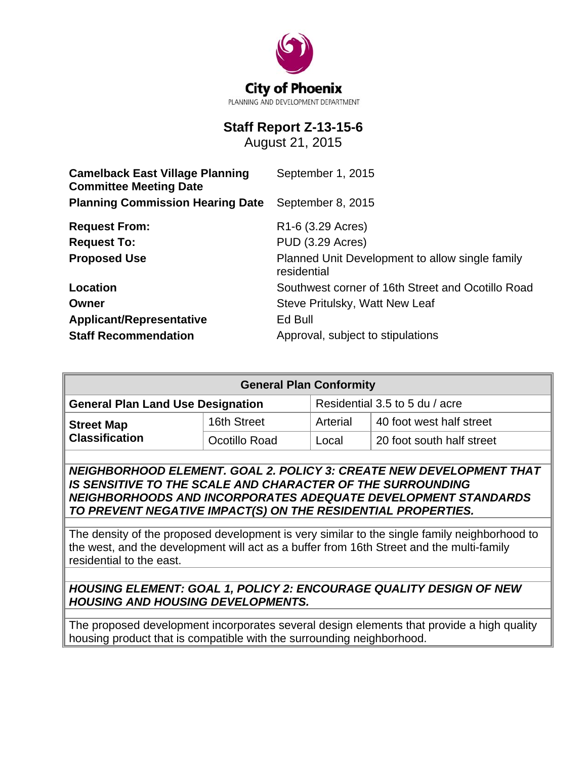

# **Staff Report Z-13-15-6**

August 21, 2015

| <b>Camelback East Village Planning</b><br><b>Committee Meeting Date</b> | September 1, 2015                                              |  |  |
|-------------------------------------------------------------------------|----------------------------------------------------------------|--|--|
| <b>Planning Commission Hearing Date</b>                                 | September 8, 2015                                              |  |  |
| <b>Request From:</b>                                                    | R <sub>1</sub> -6 (3.29 Acres)                                 |  |  |
| <b>Request To:</b>                                                      | PUD (3.29 Acres)                                               |  |  |
| <b>Proposed Use</b>                                                     | Planned Unit Development to allow single family<br>residential |  |  |
| Location                                                                | Southwest corner of 16th Street and Ocotillo Road              |  |  |
| Owner                                                                   | Steve Pritulsky, Watt New Leaf                                 |  |  |
| <b>Applicant/Representative</b>                                         | Ed Bull                                                        |  |  |
| <b>Staff Recommendation</b>                                             | Approval, subject to stipulations                              |  |  |

| <b>General Plan Conformity</b>             |               |          |                                                                    |  |
|--------------------------------------------|---------------|----------|--------------------------------------------------------------------|--|
| <b>General Plan Land Use Designation</b>   |               |          | Residential 3.5 to 5 du / acre                                     |  |
| <b>Street Map</b><br><b>Classification</b> | 16th Street   | Arterial | 40 foot west half street                                           |  |
|                                            | Ocotillo Road | Local    | 20 foot south half street                                          |  |
|                                            |               |          | NEICHDODHOOD EI EMENT COAL 2 DOLICY 2. CDEATE NEW DEVELODMENT THAT |  |

*NEIGHBORHOOD ELEMENT. GOAL 2. POLICY 3: CREATE NEW DEVELOPMENT THAT IS SENSITIVE TO THE SCALE AND CHARACTER OF THE SURROUNDING NEIGHBORHOODS AND INCORPORATES ADEQUATE DEVELOPMENT STANDARDS TO PREVENT NEGATIVE IMPACT(S) ON THE RESIDENTIAL PROPERTIES.* 

The density of the proposed development is very similar to the single family neighborhood to the west, and the development will act as a buffer from 16th Street and the multi-family residential to the east.

*HOUSING ELEMENT: GOAL 1, POLICY 2: ENCOURAGE QUALITY DESIGN OF NEW HOUSING AND HOUSING DEVELOPMENTS.*

The proposed development incorporates several design elements that provide a high quality housing product that is compatible with the surrounding neighborhood.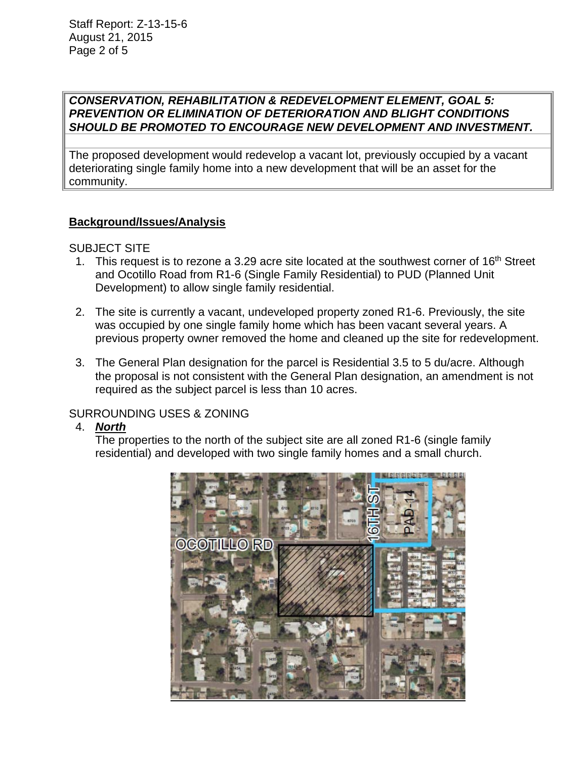## *CONSERVATION, REHABILITATION & REDEVELOPMENT ELEMENT, GOAL 5: PREVENTION OR ELIMINATION OF DETERIORATION AND BLIGHT CONDITIONS SHOULD BE PROMOTED TO ENCOURAGE NEW DEVELOPMENT AND INVESTMENT.*

The proposed development would redevelop a vacant lot, previously occupied by a vacant deteriorating single family home into a new development that will be an asset for the community.

# **Background/Issues/Analysis**

## SUBJECT SITE

- 1. This request is to rezone a 3.29 acre site located at the southwest corner of  $16<sup>th</sup>$  Street and Ocotillo Road from R1-6 (Single Family Residential) to PUD (Planned Unit Development) to allow single family residential.
- 2. The site is currently a vacant, undeveloped property zoned R1-6. Previously, the site was occupied by one single family home which has been vacant several years. A previous property owner removed the home and cleaned up the site for redevelopment.
- 3. The General Plan designation for the parcel is Residential 3.5 to 5 du/acre. Although the proposal is not consistent with the General Plan designation, an amendment is not required as the subject parcel is less than 10 acres.

# SURROUNDING USES & ZONING

4. *North* 

The properties to the north of the subject site are all zoned R1-6 (single family residential) and developed with two single family homes and a small church.

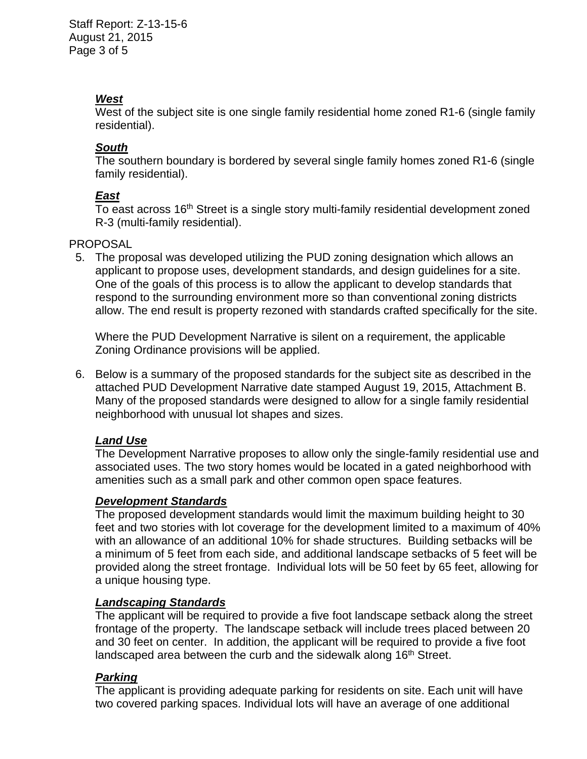# *West*

West of the subject site is one single family residential home zoned R1-6 (single family residential).

#### *South*

The southern boundary is bordered by several single family homes zoned R1-6 (single family residential).

## *East*

To east across 16<sup>th</sup> Street is a single story multi-family residential development zoned R-3 (multi-family residential).

## **PROPOSAL**

 5. The proposal was developed utilizing the PUD zoning designation which allows an applicant to propose uses, development standards, and design guidelines for a site. One of the goals of this process is to allow the applicant to develop standards that respond to the surrounding environment more so than conventional zoning districts allow. The end result is property rezoned with standards crafted specifically for the site.

Where the PUD Development Narrative is silent on a requirement, the applicable Zoning Ordinance provisions will be applied.

 6. Below is a summary of the proposed standards for the subject site as described in the attached PUD Development Narrative date stamped August 19, 2015, Attachment B. Many of the proposed standards were designed to allow for a single family residential neighborhood with unusual lot shapes and sizes.

## *Land Use*

The Development Narrative proposes to allow only the single-family residential use and associated uses. The two story homes would be located in a gated neighborhood with amenities such as a small park and other common open space features.

## *Development Standards*

The proposed development standards would limit the maximum building height to 30 feet and two stories with lot coverage for the development limited to a maximum of 40% with an allowance of an additional 10% for shade structures. Building setbacks will be a minimum of 5 feet from each side, and additional landscape setbacks of 5 feet will be provided along the street frontage. Individual lots will be 50 feet by 65 feet, allowing for a unique housing type.

## *Landscaping Standards*

The applicant will be required to provide a five foot landscape setback along the street frontage of the property. The landscape setback will include trees placed between 20 and 30 feet on center. In addition, the applicant will be required to provide a five foot landscaped area between the curb and the sidewalk along 16<sup>th</sup> Street.

## *Parking*

The applicant is providing adequate parking for residents on site. Each unit will have two covered parking spaces. Individual lots will have an average of one additional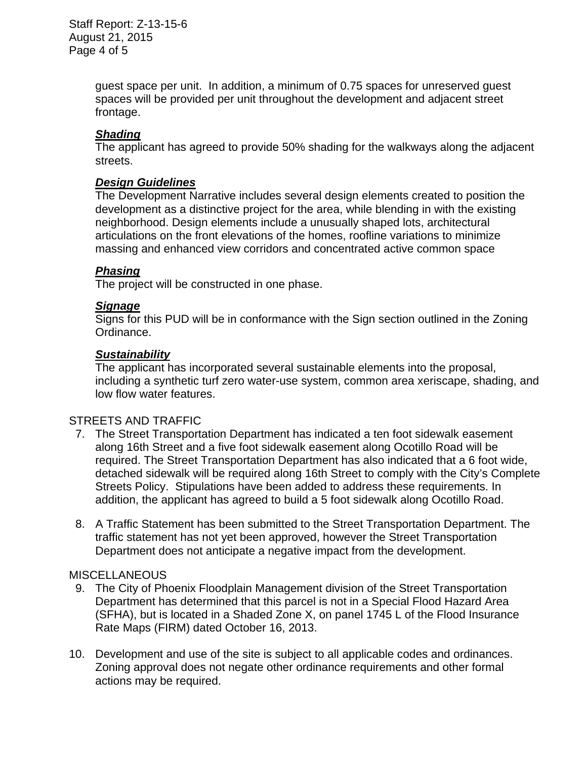Staff Report: Z-13-15-6 August 21, 2015 Page 4 of 5

> guest space per unit. In addition, a minimum of 0.75 spaces for unreserved guest spaces will be provided per unit throughout the development and adjacent street frontage.

## *Shading*

The applicant has agreed to provide 50% shading for the walkways along the adjacent streets.

#### *Design Guidelines*

The Development Narrative includes several design elements created to position the development as a distinctive project for the area, while blending in with the existing neighborhood. Design elements include a unusually shaped lots, architectural articulations on the front elevations of the homes, roofline variations to minimize massing and enhanced view corridors and concentrated active common space

#### *Phasing*

The project will be constructed in one phase.

#### *Signage*

Signs for this PUD will be in conformance with the Sign section outlined in the Zoning Ordinance.

#### *Sustainability*

The applicant has incorporated several sustainable elements into the proposal, including a synthetic turf zero water-use system, common area xeriscape, shading, and low flow water features.

## STREETS AND TRAFFIC

- 7. The Street Transportation Department has indicated a ten foot sidewalk easement along 16th Street and a five foot sidewalk easement along Ocotillo Road will be required. The Street Transportation Department has also indicated that a 6 foot wide, detached sidewalk will be required along 16th Street to comply with the City's Complete Streets Policy. Stipulations have been added to address these requirements. In addition, the applicant has agreed to build a 5 foot sidewalk along Ocotillo Road.
- 8. A Traffic Statement has been submitted to the Street Transportation Department. The traffic statement has not yet been approved, however the Street Transportation Department does not anticipate a negative impact from the development.

#### **MISCELLANEOUS**

- 9. The City of Phoenix Floodplain Management division of the Street Transportation Department has determined that this parcel is not in a Special Flood Hazard Area (SFHA), but is located in a Shaded Zone X, on panel 1745 L of the Flood Insurance Rate Maps (FIRM) dated October 16, 2013.
- 10. Development and use of the site is subject to all applicable codes and ordinances. Zoning approval does not negate other ordinance requirements and other formal actions may be required.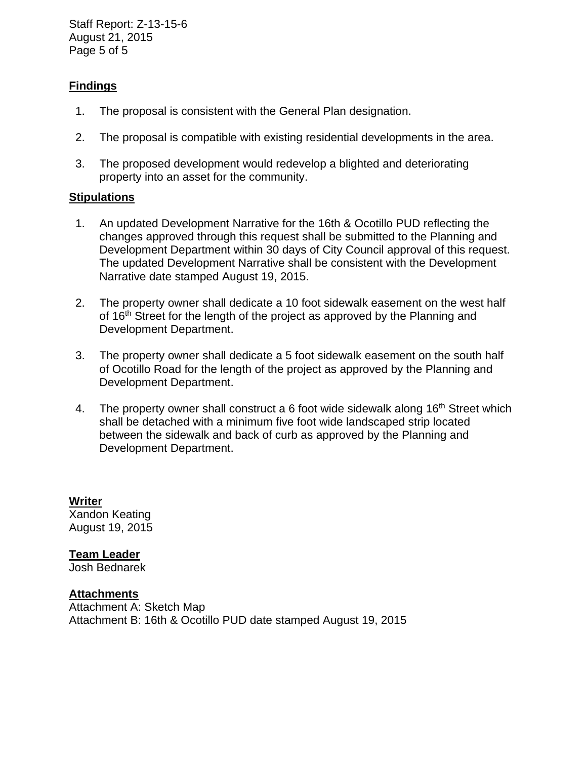Staff Report: Z-13-15-6 August 21, 2015 Page 5 of 5

# **Findings**

- 1. The proposal is consistent with the General Plan designation.
- 2. The proposal is compatible with existing residential developments in the area.
- 3. The proposed development would redevelop a blighted and deteriorating property into an asset for the community.

#### **Stipulations**

- 1. An updated Development Narrative for the 16th & Ocotillo PUD reflecting the changes approved through this request shall be submitted to the Planning and Development Department within 30 days of City Council approval of this request. The updated Development Narrative shall be consistent with the Development Narrative date stamped August 19, 2015.
- 2. The property owner shall dedicate a 10 foot sidewalk easement on the west half of 16<sup>th</sup> Street for the length of the project as approved by the Planning and Development Department.
- 3. The property owner shall dedicate a 5 foot sidewalk easement on the south half of Ocotillo Road for the length of the project as approved by the Planning and Development Department.
- 4. The property owner shall construct a 6 foot wide sidewalk along 16<sup>th</sup> Street which shall be detached with a minimum five foot wide landscaped strip located between the sidewalk and back of curb as approved by the Planning and Development Department.

**Writer**  Xandon Keating August 19, 2015

**Team Leader**

Josh Bednarek

**Attachments** 

Attachment A: Sketch Map Attachment B: 16th & Ocotillo PUD date stamped August 19, 2015